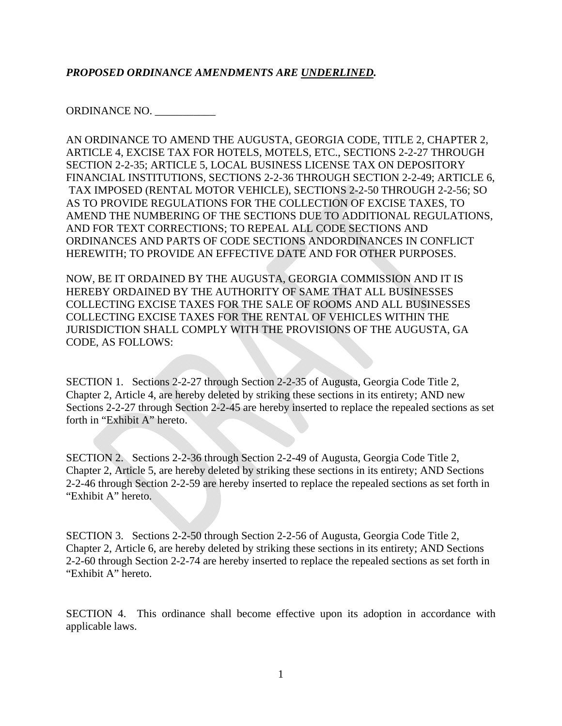### *PROPOSED ORDINANCE AMENDMENTS ARE UNDERLINED.*

ORDINANCE NO. \_\_\_\_\_\_\_\_\_\_\_

AN ORDINANCE TO AMEND THE AUGUSTA, GEORGIA CODE, TITLE 2, CHAPTER 2, ARTICLE 4, EXCISE TAX FOR HOTELS, MOTELS, ETC., SECTIONS 2-2-27 THROUGH SECTION 2-2-35; ARTICLE 5, LOCAL BUSINESS LICENSE TAX ON DEPOSITORY FINANCIAL INSTITUTIONS, SECTIONS 2-2-36 THROUGH SECTION 2-2-49; ARTICLE 6, TAX IMPOSED (RENTAL MOTOR VEHICLE), SECTIONS 2-2-50 THROUGH 2-2-56; SO AS TO PROVIDE REGULATIONS FOR THE COLLECTION OF EXCISE TAXES, TO AMEND THE NUMBERING OF THE SECTIONS DUE TO ADDITIONAL REGULATIONS, AND FOR TEXT CORRECTIONS; TO REPEAL ALL CODE SECTIONS AND ORDINANCES AND PARTS OF CODE SECTIONS ANDORDINANCES IN CONFLICT HEREWITH; TO PROVIDE AN EFFECTIVE DATE AND FOR OTHER PURPOSES.

NOW, BE IT ORDAINED BY THE AUGUSTA, GEORGIA COMMISSION AND IT IS HEREBY ORDAINED BY THE AUTHORITY OF SAME THAT ALL BUSINESSES COLLECTING EXCISE TAXES FOR THE SALE OF ROOMS AND ALL BUSINESSES COLLECTING EXCISE TAXES FOR THE RENTAL OF VEHICLES WITHIN THE JURISDICTION SHALL COMPLY WITH THE PROVISIONS OF THE AUGUSTA, GA CODE, AS FOLLOWS:

SECTION 1. Sections 2-2-27 through Section 2-2-35 of Augusta, Georgia Code Title 2, Chapter 2, Article 4, are hereby deleted by striking these sections in its entirety; AND new Sections 2-2-27 through Section 2-2-45 are hereby inserted to replace the repealed sections as set forth in "Exhibit A" hereto.

SECTION 2. Sections 2-2-36 through Section 2-2-49 of Augusta, Georgia Code Title 2, Chapter 2, Article 5, are hereby deleted by striking these sections in its entirety; AND Sections 2-2-46 through Section 2-2-59 are hereby inserted to replace the repealed sections as set forth in "Exhibit A" hereto.

SECTION 3. Sections 2-2-50 through Section 2-2-56 of Augusta, Georgia Code Title 2, Chapter 2, Article 6, are hereby deleted by striking these sections in its entirety; AND Sections 2-2-60 through Section 2-2-74 are hereby inserted to replace the repealed sections as set forth in "Exhibit A" hereto.

SECTION 4. This ordinance shall become effective upon its adoption in accordance with applicable laws.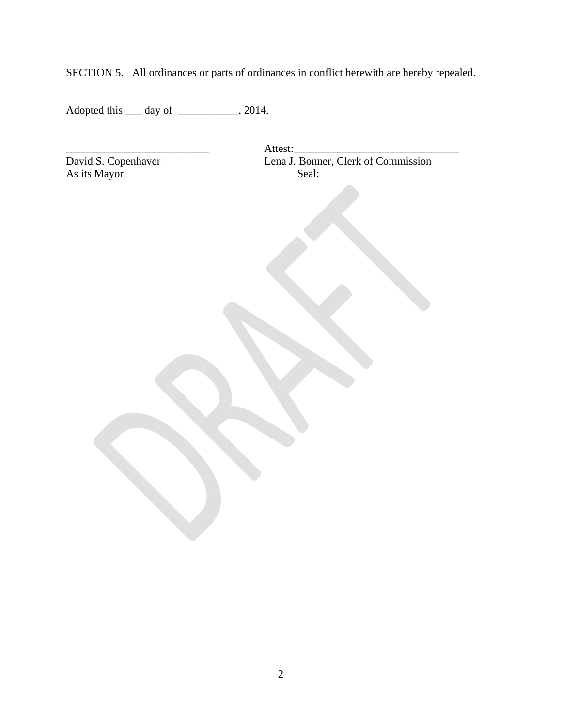SECTION 5. All ordinances or parts of ordinances in conflict herewith are hereby repealed.

Adopted this \_\_\_ day of \_\_\_\_\_\_\_\_\_\_\_, 2014.

As its Mayor Seal:

\_\_\_\_\_\_\_\_\_\_\_\_\_\_\_\_\_\_\_\_\_\_\_\_\_\_ Attest:\_\_\_\_\_\_\_\_\_\_\_\_\_\_\_\_\_\_\_\_\_\_\_\_\_\_\_\_\_\_ David S. Copenhaver Lena J. Bonner, Clerk of Commission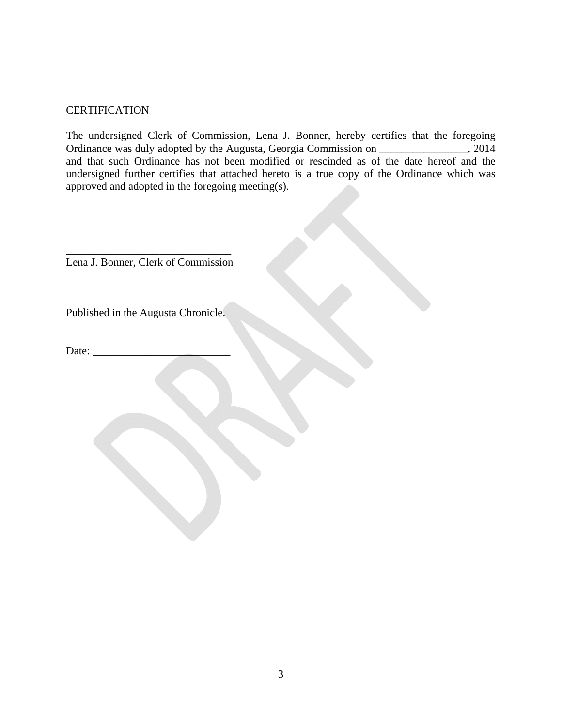### **CERTIFICATION**

The undersigned Clerk of Commission, Lena J. Bonner, hereby certifies that the foregoing Ordinance was duly adopted by the Augusta, Georgia Commission on \_\_\_\_\_\_\_\_\_\_\_\_\_\_\_\_, 2014 and that such Ordinance has not been modified or rescinded as of the date hereof and the undersigned further certifies that attached hereto is a true copy of the Ordinance which was approved and adopted in the foregoing meeting(s).

\_\_\_\_\_\_\_\_\_\_\_\_\_\_\_\_\_\_\_\_\_\_\_\_\_\_\_\_\_\_ Lena J. Bonner, Clerk of Commission

Published in the Augusta Chronicle.

Date:  $\frac{ }{ }$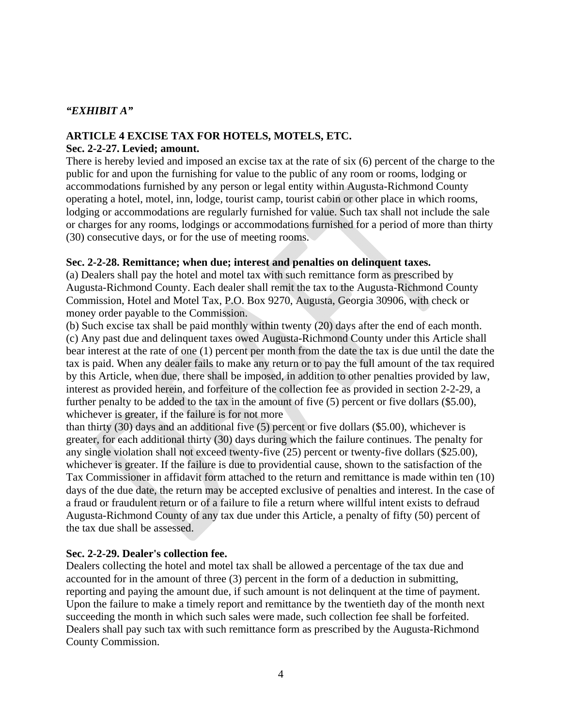#### *"EXHIBIT A"*

## **ARTICLE 4 EXCISE TAX FOR HOTELS, MOTELS, ETC.**

#### **Sec. 2-2-27. Levied; amount.**

There is hereby levied and imposed an excise tax at the rate of six (6) percent of the charge to the public for and upon the furnishing for value to the public of any room or rooms, lodging or accommodations furnished by any person or legal entity within Augusta-Richmond County operating a hotel, motel, inn, lodge, tourist camp, tourist cabin or other place in which rooms, lodging or accommodations are regularly furnished for value. Such tax shall not include the sale or charges for any rooms, lodgings or accommodations furnished for a period of more than thirty (30) consecutive days, or for the use of meeting rooms.

### **Sec. 2-2-28. Remittance; when due; interest and penalties on delinquent taxes.**

(a) Dealers shall pay the hotel and motel tax with such remittance form as prescribed by Augusta-Richmond County. Each dealer shall remit the tax to the Augusta-Richmond County Commission, Hotel and Motel Tax, P.O. Box 9270, Augusta, Georgia 30906, with check or money order payable to the Commission.

(b) Such excise tax shall be paid monthly within twenty (20) days after the end of each month. (c) Any past due and delinquent taxes owed Augusta-Richmond County under this Article shall bear interest at the rate of one (1) percent per month from the date the tax is due until the date the tax is paid. When any dealer fails to make any return or to pay the full amount of the tax required by this Article, when due, there shall be imposed, in addition to other penalties provided by law, interest as provided herein, and forfeiture of the collection fee as provided in section 2-2-29, a further penalty to be added to the tax in the amount of five (5) percent or five dollars (\$5.00), whichever is greater, if the failure is for not more

than thirty (30) days and an additional five (5) percent or five dollars (\$5.00), whichever is greater, for each additional thirty (30) days during which the failure continues. The penalty for any single violation shall not exceed twenty-five (25) percent or twenty-five dollars (\$25.00), whichever is greater. If the failure is due to providential cause, shown to the satisfaction of the Tax Commissioner in affidavit form attached to the return and remittance is made within ten (10) days of the due date, the return may be accepted exclusive of penalties and interest. In the case of a fraud or fraudulent return or of a failure to file a return where willful intent exists to defraud Augusta-Richmond County of any tax due under this Article, a penalty of fifty (50) percent of the tax due shall be assessed.

### **Sec. 2-2-29. Dealer's collection fee.**

Dealers collecting the hotel and motel tax shall be allowed a percentage of the tax due and accounted for in the amount of three (3) percent in the form of a deduction in submitting, reporting and paying the amount due, if such amount is not delinquent at the time of payment. Upon the failure to make a timely report and remittance by the twentieth day of the month next succeeding the month in which such sales were made, such collection fee shall be forfeited. Dealers shall pay such tax with such remittance form as prescribed by the Augusta-Richmond County Commission.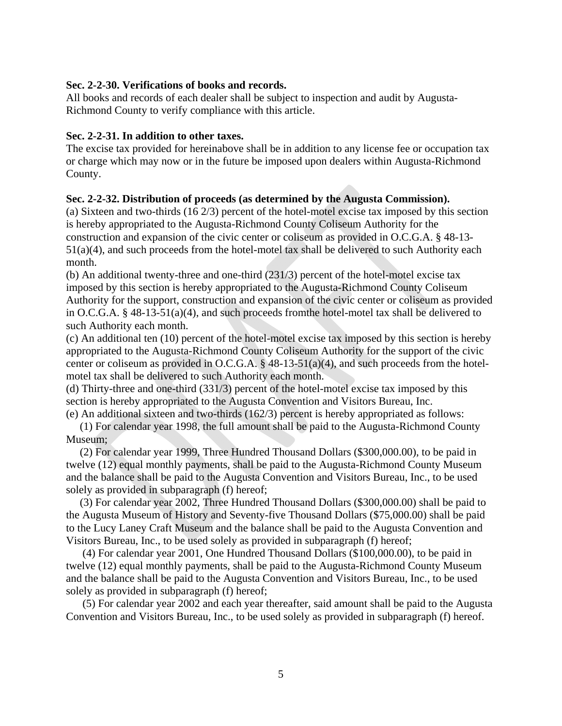#### **Sec. 2-2-30. Verifications of books and records.**

All books and records of each dealer shall be subject to inspection and audit by Augusta-Richmond County to verify compliance with this article.

#### **Sec. 2-2-31. In addition to other taxes.**

The excise tax provided for hereinabove shall be in addition to any license fee or occupation tax or charge which may now or in the future be imposed upon dealers within Augusta-Richmond County.

### **Sec. 2-2-32. Distribution of proceeds (as determined by the Augusta Commission).**

(a) Sixteen and two-thirds (16 2/3) percent of the hotel-motel excise tax imposed by this section is hereby appropriated to the Augusta-Richmond County Coliseum Authority for the construction and expansion of the civic center or coliseum as provided in O.C.G.A. § 48-13- 51(a)(4), and such proceeds from the hotel-motel tax shall be delivered to such Authority each month.

(b) An additional twenty-three and one-third (231/3) percent of the hotel-motel excise tax imposed by this section is hereby appropriated to the Augusta-Richmond County Coliseum Authority for the support, construction and expansion of the civic center or coliseum as provided in O.C.G.A. § 48-13-51(a)(4), and such proceeds fromthe hotel-motel tax shall be delivered to such Authority each month.

(c) An additional ten (10) percent of the hotel-motel excise tax imposed by this section is hereby appropriated to the Augusta-Richmond County Coliseum Authority for the support of the civic center or coliseum as provided in O.C.G.A. § 48-13-51(a)(4), and such proceeds from the hotelmotel tax shall be delivered to such Authority each month.

(d) Thirty-three and one-third (331/3) percent of the hotel-motel excise tax imposed by this section is hereby appropriated to the Augusta Convention and Visitors Bureau, Inc.

(e) An additional sixteen and two-thirds (162/3) percent is hereby appropriated as follows:

 (1) For calendar year 1998, the full amount shall be paid to the Augusta-Richmond County Museum;

 (2) For calendar year 1999, Three Hundred Thousand Dollars (\$300,000.00), to be paid in twelve (12) equal monthly payments, shall be paid to the Augusta-Richmond County Museum and the balance shall be paid to the Augusta Convention and Visitors Bureau, Inc., to be used solely as provided in subparagraph (f) hereof;

 (3) For calendar year 2002, Three Hundred Thousand Dollars (\$300,000.00) shall be paid to the Augusta Museum of History and Seventy-five Thousand Dollars (\$75,000.00) shall be paid to the Lucy Laney Craft Museum and the balance shall be paid to the Augusta Convention and Visitors Bureau, Inc., to be used solely as provided in subparagraph (f) hereof;

 (4) For calendar year 2001, One Hundred Thousand Dollars (\$100,000.00), to be paid in twelve (12) equal monthly payments, shall be paid to the Augusta-Richmond County Museum and the balance shall be paid to the Augusta Convention and Visitors Bureau, Inc., to be used solely as provided in subparagraph (f) hereof;

 (5) For calendar year 2002 and each year thereafter, said amount shall be paid to the Augusta Convention and Visitors Bureau, Inc., to be used solely as provided in subparagraph (f) hereof.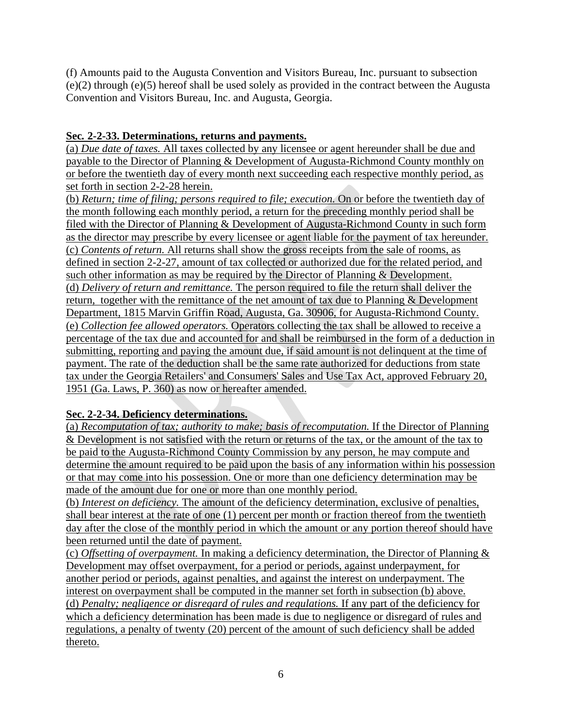(f) Amounts paid to the Augusta Convention and Visitors Bureau, Inc. pursuant to subsection (e)(2) through (e)(5) hereof shall be used solely as provided in the contract between the Augusta Convention and Visitors Bureau, Inc. and Augusta, Georgia.

## **Sec***.* **2-2-33. Determinations, returns and payments.**

(a) *Due date of taxes.* All taxes collected by any licensee or agent hereunder shall be due and payable to the Director of Planning & Development of Augusta-Richmond County monthly on or before the twentieth day of every month next succeeding each respective monthly period, as set forth in section 2-2-28 herein.

(b) *Return; time of filing; persons required to file; execution.* On or before the twentieth day of the month following each monthly period, a return for the preceding monthly period shall be filed with the Director of Planning & Development of Augusta-Richmond County in such form as the director may prescribe by every licensee or agent liable for the payment of tax hereunder. (c) *Contents of return.* All returns shall show the gross receipts from the sale of rooms, as defined in section 2-2-27, amount of tax collected or authorized due for the related period, and such other information as may be required by the Director of Planning & Development. (d) *Delivery of return and remittance.* The person required to file the return shall deliver the return, together with the remittance of the net amount of tax due to Planning & Development Department, 1815 Marvin Griffin Road, Augusta, Ga. 30906, for Augusta-Richmond County. (e) *Collection fee allowed operators.* Operators collecting the tax shall be allowed to receive a percentage of the tax due and accounted for and shall be reimbursed in the form of a deduction in submitting, reporting and paying the amount due, if said amount is not delinquent at the time of payment. The rate of the deduction shall be the same rate authorized for deductions from state tax under the Georgia Retailers' and Consumers' Sales and Use Tax Act, approved February 20, 1951 (Ga. Laws, P. 360) as now or hereafter amended.

## **Sec. 2-2-34. Deficiency determinations.**

(a) *Recomputation of tax; authority to make; basis of recomputation.* If the Director of Planning & Development is not satisfied with the return or returns of the tax, or the amount of the tax to be paid to the Augusta-Richmond County Commission by any person, he may compute and determine the amount required to be paid upon the basis of any information within his possession or that may come into his possession. One or more than one deficiency determination may be made of the amount due for one or more than one monthly period.

(b) *Interest on deficiency.* The amount of the deficiency determination, exclusive of penalties, shall bear interest at the rate of one (1) percent per month or fraction thereof from the twentieth day after the close of the monthly period in which the amount or any portion thereof should have been returned until the date of payment.

(c) *Offsetting of overpayment.* In making a deficiency determination, the Director of Planning & Development may offset overpayment, for a period or periods, against underpayment, for another period or periods, against penalties, and against the interest on underpayment. The interest on overpayment shall be computed in the manner set forth in subsection (b) above. (d) *Penalty; negligence or disregard of rules and regulations.* If any part of the deficiency for which a deficiency determination has been made is due to negligence or disregard of rules and regulations, a penalty of twenty (20) percent of the amount of such deficiency shall be added thereto.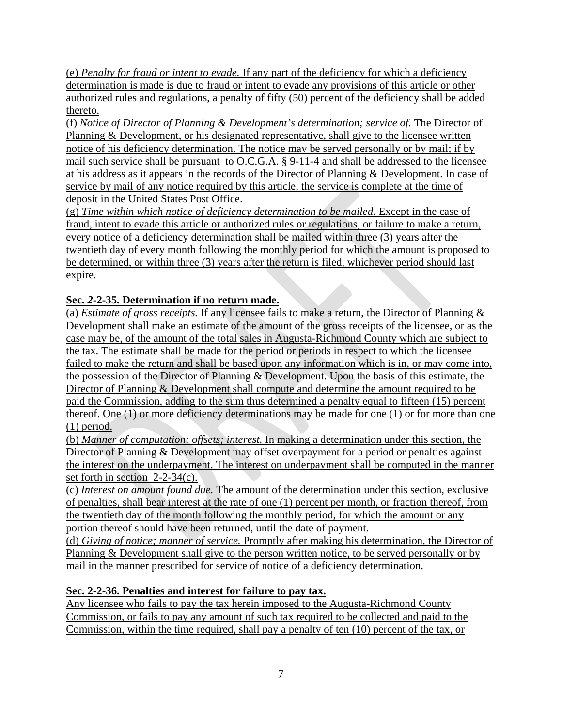(e) *Penalty for fraud or intent to evade.* If any part of the deficiency for which a deficiency determination is made is due to fraud or intent to evade any provisions of this article or other authorized rules and regulations, a penalty of fifty (50) percent of the deficiency shall be added thereto.

(f) *Notice of Director of Planning & Development's determination; service of.* The Director of Planning & Development, or his designated representative, shall give to the licensee written notice of his deficiency determination. The notice may be served personally or by mail; if by mail such service shall be pursuant to O.C.G.A. § 9-11-4 and shall be addressed to the licensee at his address as it appears in the records of the Director of Planning & Development. In case of service by mail of any notice required by this article, the service is complete at the time of deposit in the United States Post Office.

(g) *Time within which notice of deficiency determination to be mailed.* Except in the case of fraud, intent to evade this article or authorized rules or regulations, or failure to make a return, every notice of a deficiency determination shall be mailed within three (3) years after the twentieth day of every month following the monthly period for which the amount is proposed to be determined, or within three (3) years after the return is filed, whichever period should last expire.

# **Sec.** *2***-2-35. Determination if no return made.**

(a) *Estimate of gross receipts.* If any licensee fails to make a return, the Director of Planning & Development shall make an estimate of the amount of the gross receipts of the licensee, or as the case may be, of the amount of the total sales in Augusta-Richmond County which are subject to the tax. The estimate shall be made for the period or periods in respect to which the licensee failed to make the return and shall be based upon any information which is in, or may come into, the possession of the Director of Planning & Development. Upon the basis of this estimate, the Director of Planning & Development shall compute and determine the amount required to be paid the Commission, adding to the sum thus determined a penalty equal to fifteen (15) percent thereof. One (1) or more deficiency determinations may be made for one (1) or for more than one (1) period.

(b) *Manner of computation; offsets; interest.* In making a determination under this section, the Director of Planning & Development may offset overpayment for a period or penalties against the interest on the underpayment. The interest on underpayment shall be computed in the manner set forth in section 2-2-34(c).

(c) *Interest on amount found due.* The amount of the determination under this section, exclusive of penalties, shall bear interest at the rate of one (1) percent per month, or fraction thereof, from the twentieth day of the month following the monthly period, for which the amount or any portion thereof should have been returned, until the date of payment.

(d) *Giving of notice; manner of service.* Promptly after making his determination, the Director of Planning & Development shall give to the person written notice, to be served personally or by mail in the manner prescribed for service of notice of a deficiency determination.

## **Sec. 2-2-36. Penalties and interest for failure to pay tax.**

Any licensee who fails to pay the tax herein imposed to the Augusta-Richmond County Commission, or fails to pay any amount of such tax required to be collected and paid to the Commission, within the time required, shall pay a penalty of ten (10) percent of the tax, or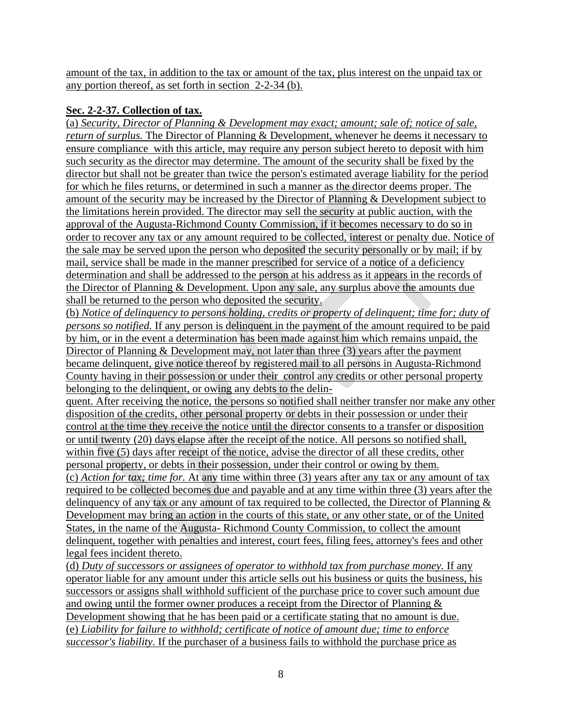amount of the tax, in addition to the tax or amount of the tax, plus interest on the unpaid tax or any portion thereof, as set forth in section 2-2-34 (b).

## **Sec. 2-2-37. Collection of tax.**

(a) *Security, Director of Planning & Development may exact; amount; sale of; notice of sale, return of surplus.* The Director of Planning & Development, whenever he deems it necessary to ensure compliance with this article, may require any person subject hereto to deposit with him such security as the director may determine. The amount of the security shall be fixed by the director but shall not be greater than twice the person's estimated average liability for the period for which he files returns, or determined in such a manner as the director deems proper. The amount of the security may be increased by the Director of Planning & Development subject to the limitations herein provided. The director may sell the security at public auction, with the approval of the Augusta-Richmond County Commission, if it becomes necessary to do so in order to recover any tax or any amount required to be collected, interest or penalty due. Notice of the sale may be served upon the person who deposited the security personally or by mail; if by mail, service shall be made in the manner prescribed for service of a notice of a deficiency determination and shall be addressed to the person at his address as it appears in the records of the Director of Planning & Development. Upon any sale, any surplus above the amounts due shall be returned to the person who deposited the security.

(b) *Notice of delinquency to persons holding, credits or property of delinquent; time for; duty of persons so notified.* If any person is delinquent in the payment of the amount required to be paid by him, or in the event a determination has been made against him which remains unpaid, the Director of Planning & Development may, not later than three (3) years after the payment became delinquent, give notice thereof by registered mail to all persons in Augusta-Richmond County having in their possession or under their control any credits or other personal property belonging to the delinquent, or owing any debts to the delin-

quent. After receiving the notice, the persons so notified shall neither transfer nor make any other disposition of the credits, other personal property or debts in their possession or under their control at the time they receive the notice until the director consents to a transfer or disposition or until twenty (20) days elapse after the receipt of the notice. All persons so notified shall, within five (5) days after receipt of the notice, advise the director of all these credits, other personal property, or debts in their possession, under their control or owing by them. (c) *Action for tax; time for.* At any time within three (3) years after any tax or any amount of tax required to be collected becomes due and payable and at any time within three (3) years after the delinquency of any tax or any amount of tax required to be collected, the Director of Planning & Development may bring an action in the courts of this state, or any other state, or of the United States, in the name of the Augusta- Richmond County Commission, to collect the amount delinquent, together with penalties and interest, court fees, filing fees, attorney's fees and other legal fees incident thereto.

(d) *Duty of successors or assignees of operator to withhold tax from purchase money.* If any operator liable for any amount under this article sells out his business or quits the business, his successors or assigns shall withhold sufficient of the purchase price to cover such amount due and owing until the former owner produces a receipt from the Director of Planning & Development showing that he has been paid or a certificate stating that no amount is due. (e) *Liability for failure to withhold; certificate of notice of amount due; time to enforce successor's liability.* If the purchaser of a business fails to withhold the purchase price as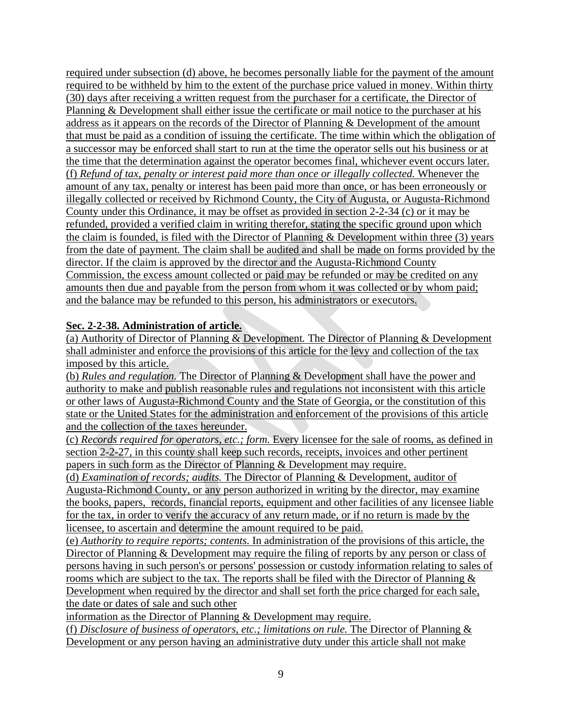required under subsection (d) above, he becomes personally liable for the payment of the amount required to be withheld by him to the extent of the purchase price valued in money. Within thirty (30) days after receiving a written request from the purchaser for a certificate, the Director of Planning & Development shall either issue the certificate or mail notice to the purchaser at his address as it appears on the records of the Director of Planning & Development of the amount that must be paid as a condition of issuing the certificate. The time within which the obligation of a successor may be enforced shall start to run at the time the operator sells out his business or at the time that the determination against the operator becomes final, whichever event occurs later. (f) *Refund of tax, penalty or interest paid more than once or illegally collected.* Whenever the amount of any tax, penalty or interest has been paid more than once, or has been erroneously or illegally collected or received by Richmond County, the City of Augusta, or Augusta-Richmond County under this Ordinance, it may be offset as provided in section 2-2-34 (c) or it may be refunded, provided a verified claim in writing therefor, stating the specific ground upon which the claim is founded, is filed with the Director of Planning & Development within three (3) years from the date of payment. The claim shall be audited and shall be made on forms provided by the director. If the claim is approved by the director and the Augusta-Richmond County Commission, the excess amount collected or paid may be refunded or may be credited on any amounts then due and payable from the person from whom it was collected or by whom paid; and the balance may be refunded to this person, his administrators or executors.

### **Sec. 2-2-38. Administration of article.**

(a) Authority of Director of Planning & Development*.* The Director of Planning & Development shall administer and enforce the provisions of this article for the levy and collection of the tax imposed by this article.

(b) *Rules and regulation.* The Director of Planning & Development shall have the power and authority to make and publish reasonable rules and regulations not inconsistent with this article or other laws of Augusta-Richmond County and the State of Georgia, or the constitution of this state or the United States for the administration and enforcement of the provisions of this article and the collection of the taxes hereunder.

(c) *Records required for operators, etc.; form.* Every licensee for the sale of rooms, as defined in section 2-2-27, in this county shall keep such records, receipts, invoices and other pertinent papers in such form as the Director of Planning & Development may require.

(d) *Examination of records; audits.* The Director of Planning & Development, auditor of Augusta-Richmond County, or any person authorized in writing by the director, may examine the books, papers, records, financial reports, equipment and other facilities of any licensee liable for the tax, in order to verify the accuracy of any return made, or if no return is made by the licensee, to ascertain and determine the amount required to be paid.

(e) *Authority to require reports; contents.* In administration of the provisions of this article, the Director of Planning & Development may require the filing of reports by any person or class of persons having in such person's or persons' possession or custody information relating to sales of rooms which are subject to the tax. The reports shall be filed with the Director of Planning  $\&$ Development when required by the director and shall set forth the price charged for each sale, the date or dates of sale and such other

information as the Director of Planning & Development may require.

(f) *Disclosure of business of operators, etc.; limitations on rule.* The Director of Planning & Development or any person having an administrative duty under this article shall not make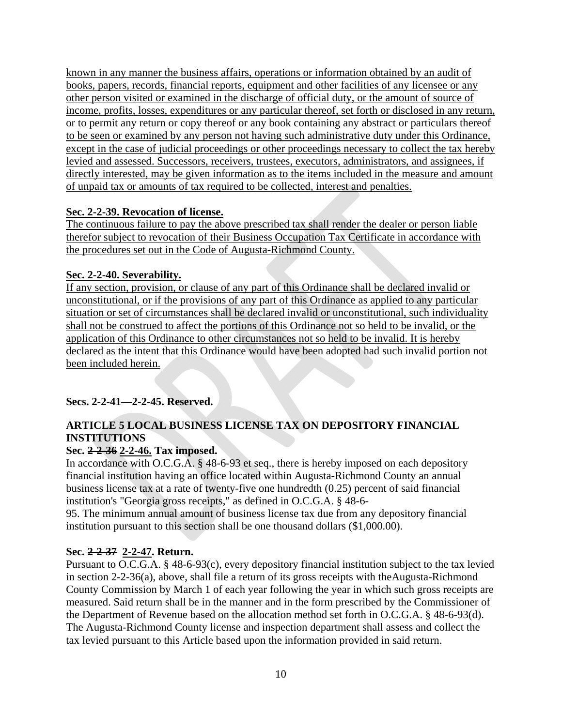known in any manner the business affairs, operations or information obtained by an audit of books, papers, records, financial reports, equipment and other facilities of any licensee or any other person visited or examined in the discharge of official duty, or the amount of source of income, profits, losses, expenditures or any particular thereof, set forth or disclosed in any return, or to permit any return or copy thereof or any book containing any abstract or particulars thereof to be seen or examined by any person not having such administrative duty under this Ordinance, except in the case of judicial proceedings or other proceedings necessary to collect the tax hereby levied and assessed. Successors, receivers, trustees, executors, administrators, and assignees, if directly interested, may be given information as to the items included in the measure and amount of unpaid tax or amounts of tax required to be collected, interest and penalties.

## **Sec. 2-2-39. Revocation of license.**

The continuous failure to pay the above prescribed tax shall render the dealer or person liable therefor subject to revocation of their Business Occupation Tax Certificate in accordance with the procedures set out in the Code of Augusta-Richmond County.

## **Sec. 2-2-40. Severability.**

If any section, provision, or clause of any part of this Ordinance shall be declared invalid or unconstitutional, or if the provisions of any part of this Ordinance as applied to any particular situation or set of circumstances shall be declared invalid or unconstitutional, such individuality shall not be construed to affect the portions of this Ordinance not so held to be invalid, or the application of this Ordinance to other circumstances not so held to be invalid. It is hereby declared as the intent that this Ordinance would have been adopted had such invalid portion not been included herein.

## **Secs. 2-2-41—2-2-45. Reserved.**

## **ARTICLE 5 LOCAL BUSINESS LICENSE TAX ON DEPOSITORY FINANCIAL INSTITUTIONS**

## **Sec. 2-2-36 2-2-46. Tax imposed.**

In accordance with O.C.G.A. § 48-6-93 et seq., there is hereby imposed on each depository financial institution having an office located within Augusta-Richmond County an annual business license tax at a rate of twenty-five one hundredth (0.25) percent of said financial institution's "Georgia gross receipts," as defined in O.C.G.A. § 48-6-

95. The minimum annual amount of business license tax due from any depository financial institution pursuant to this section shall be one thousand dollars (\$1,000.00).

## **Sec. 2-2-37 2-2-47. Return.**

Pursuant to O.C.G.A. § 48-6-93(c), every depository financial institution subject to the tax levied in section 2-2-36(a), above, shall file a return of its gross receipts with theAugusta-Richmond County Commission by March 1 of each year following the year in which such gross receipts are measured. Said return shall be in the manner and in the form prescribed by the Commissioner of the Department of Revenue based on the allocation method set forth in O.C.G.A. § 48-6-93(d). The Augusta-Richmond County license and inspection department shall assess and collect the tax levied pursuant to this Article based upon the information provided in said return.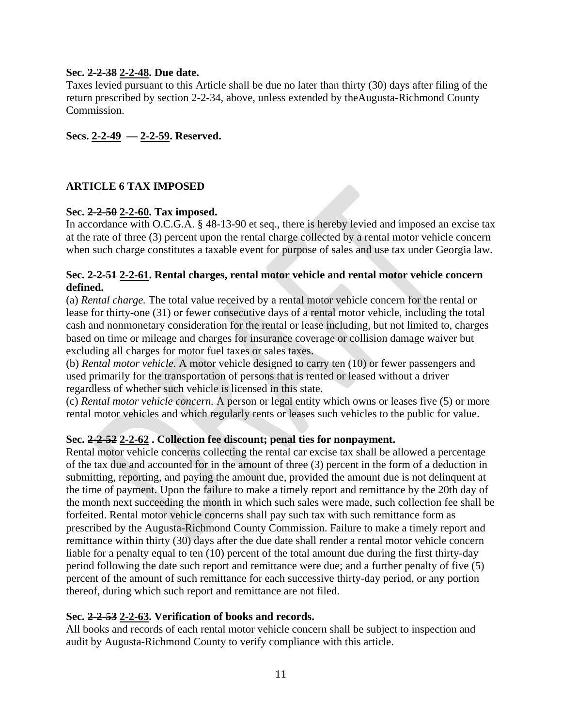### **Sec. 2-2-38 2-2-48. Due date.**

Taxes levied pursuant to this Article shall be due no later than thirty (30) days after filing of the return prescribed by section 2-2-34, above, unless extended by theAugusta-Richmond County Commission.

**Secs. 2-2-49 — 2-2-59. Reserved.** 

## **ARTICLE 6 TAX IMPOSED**

### **Sec. 2-2-50 2-2-60. Tax imposed.**

In accordance with O.C.G.A. § 48-13-90 et seq., there is hereby levied and imposed an excise tax at the rate of three (3) percent upon the rental charge collected by a rental motor vehicle concern when such charge constitutes a taxable event for purpose of sales and use tax under Georgia law.

### **Sec. 2-2-51 2-2-61. Rental charges, rental motor vehicle and rental motor vehicle concern defined.**

(a) *Rental charge.* The total value received by a rental motor vehicle concern for the rental or lease for thirty-one (31) or fewer consecutive days of a rental motor vehicle, including the total cash and nonmonetary consideration for the rental or lease including, but not limited to, charges based on time or mileage and charges for insurance coverage or collision damage waiver but excluding all charges for motor fuel taxes or sales taxes.

(b) *Rental motor vehicle.* A motor vehicle designed to carry ten (10) or fewer passengers and used primarily for the transportation of persons that is rented or leased without a driver regardless of whether such vehicle is licensed in this state.

(c) *Rental motor vehicle concern.* A person or legal entity which owns or leases five (5) or more rental motor vehicles and which regularly rents or leases such vehicles to the public for value.

### **Sec. 2-2-52 2-2-62 . Collection fee discount; penal ties for nonpayment.**

Rental motor vehicle concerns collecting the rental car excise tax shall be allowed a percentage of the tax due and accounted for in the amount of three (3) percent in the form of a deduction in submitting, reporting, and paying the amount due, provided the amount due is not delinquent at the time of payment. Upon the failure to make a timely report and remittance by the 20th day of the month next succeeding the month in which such sales were made, such collection fee shall be forfeited. Rental motor vehicle concerns shall pay such tax with such remittance form as prescribed by the Augusta-Richmond County Commission. Failure to make a timely report and remittance within thirty (30) days after the due date shall render a rental motor vehicle concern liable for a penalty equal to ten (10) percent of the total amount due during the first thirty-day period following the date such report and remittance were due; and a further penalty of five (5) percent of the amount of such remittance for each successive thirty-day period, or any portion thereof, during which such report and remittance are not filed.

#### **Sec. 2-2-53 2-2-63. Verification of books and records.**

All books and records of each rental motor vehicle concern shall be subject to inspection and audit by Augusta-Richmond County to verify compliance with this article.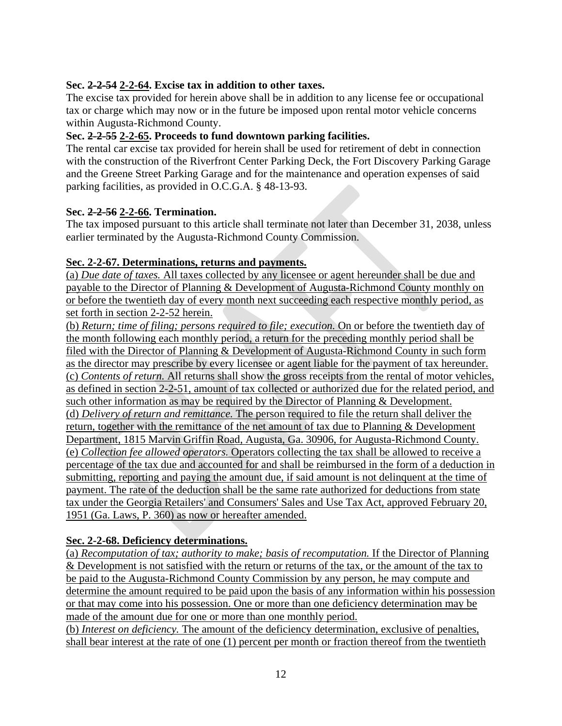### **Sec. 2-2-54 2-2-64. Excise tax in addition to other taxes.**

The excise tax provided for herein above shall be in addition to any license fee or occupational tax or charge which may now or in the future be imposed upon rental motor vehicle concerns within Augusta-Richmond County.

### **Sec. 2-2-55 2-2-65. Proceeds to fund downtown parking facilities.**

The rental car excise tax provided for herein shall be used for retirement of debt in connection with the construction of the Riverfront Center Parking Deck, the Fort Discovery Parking Garage and the Greene Street Parking Garage and for the maintenance and operation expenses of said parking facilities, as provided in O.C.G.A. § 48-13-93.

### **Sec. 2-2-56 2-2-66. Termination.**

The tax imposed pursuant to this article shall terminate not later than December 31, 2038, unless earlier terminated by the Augusta-Richmond County Commission.

## **Sec. 2-2-67. Determinations, returns and payments.**

(a) *Due date of taxes.* All taxes collected by any licensee or agent hereunder shall be due and payable to the Director of Planning & Development of Augusta-Richmond County monthly on or before the twentieth day of every month next succeeding each respective monthly period, as set forth in section 2-2-52 herein.

(b) *Return; time of filing; persons required to file; execution.* On or before the twentieth day of the month following each monthly period, a return for the preceding monthly period shall be filed with the Director of Planning & Development of Augusta-Richmond County in such form as the director may prescribe by every licensee or agent liable for the payment of tax hereunder. (c) *Contents of return.* All returns shall show the gross receipts from the rental of motor vehicles, as defined in section 2-2-51, amount of tax collected or authorized due for the related period, and such other information as may be required by the Director of Planning & Development. (d) *Delivery of return and remittance.* The person required to file the return shall deliver the return, together with the remittance of the net amount of tax due to Planning & Development Department, 1815 Marvin Griffin Road, Augusta, Ga. 30906, for Augusta-Richmond County. (e) *Collection fee allowed operators.* Operators collecting the tax shall be allowed to receive a percentage of the tax due and accounted for and shall be reimbursed in the form of a deduction in submitting, reporting and paying the amount due, if said amount is not delinquent at the time of payment. The rate of the deduction shall be the same rate authorized for deductions from state tax under the Georgia Retailers' and Consumers' Sales and Use Tax Act, approved February 20, 1951 (Ga. Laws, P. 360) as now or hereafter amended.

## **Sec. 2-2-68. Deficiency determinations.**

(a) *Recomputation of tax; authority to make; basis of recomputation.* If the Director of Planning & Development is not satisfied with the return or returns of the tax, or the amount of the tax to be paid to the Augusta-Richmond County Commission by any person, he may compute and determine the amount required to be paid upon the basis of any information within his possession or that may come into his possession. One or more than one deficiency determination may be made of the amount due for one or more than one monthly period.

(b) *Interest on deficiency.* The amount of the deficiency determination, exclusive of penalties, shall bear interest at the rate of one (1) percent per month or fraction thereof from the twentieth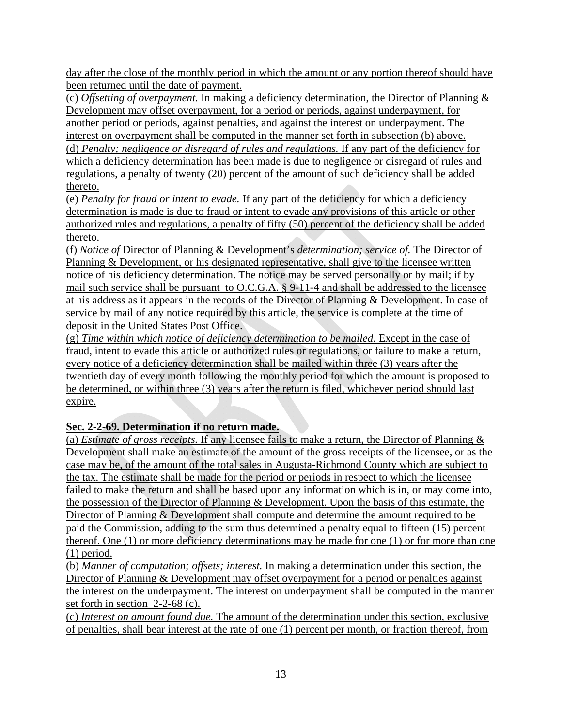day after the close of the monthly period in which the amount or any portion thereof should have been returned until the date of payment.

(c) *Offsetting of overpayment.* In making a deficiency determination, the Director of Planning & Development may offset overpayment, for a period or periods, against underpayment, for another period or periods, against penalties, and against the interest on underpayment. The interest on overpayment shall be computed in the manner set forth in subsection (b) above. (d) *Penalty; negligence or disregard of rules and regulations.* If any part of the deficiency for which a deficiency determination has been made is due to negligence or disregard of rules and regulations, a penalty of twenty (20) percent of the amount of such deficiency shall be added thereto.

(e) *Penalty for fraud or intent to evade.* If any part of the deficiency for which a deficiency determination is made is due to fraud or intent to evade any provisions of this article or other authorized rules and regulations, a penalty of fifty (50) percent of the deficiency shall be added thereto.

(f) *Notice of* Director of Planning & Development's *determination; service of.* The Director of Planning & Development, or his designated representative, shall give to the licensee written notice of his deficiency determination. The notice may be served personally or by mail; if by mail such service shall be pursuant to O.C.G.A. § 9-11-4 and shall be addressed to the licensee at his address as it appears in the records of the Director of Planning & Development. In case of service by mail of any notice required by this article, the service is complete at the time of deposit in the United States Post Office.

(g) *Time within which notice of deficiency determination to be mailed.* Except in the case of fraud, intent to evade this article or authorized rules or regulations, or failure to make a return, every notice of a deficiency determination shall be mailed within three (3) years after the twentieth day of every month following the monthly period for which the amount is proposed to be determined, or within three (3) years after the return is filed, whichever period should last expire.

# **Sec. 2-2-69. Determination if no return made.**

(a) *Estimate of gross receipts.* If any licensee fails to make a return, the Director of Planning & Development shall make an estimate of the amount of the gross receipts of the licensee, or as the case may be, of the amount of the total sales in Augusta-Richmond County which are subject to the tax. The estimate shall be made for the period or periods in respect to which the licensee failed to make the return and shall be based upon any information which is in, or may come into, the possession of the Director of Planning & Development. Upon the basis of this estimate, the Director of Planning & Development shall compute and determine the amount required to be paid the Commission, adding to the sum thus determined a penalty equal to fifteen (15) percent thereof. One (1) or more deficiency determinations may be made for one (1) or for more than one (1) period.

(b) *Manner of computation; offsets; interest.* In making a determination under this section, the Director of Planning & Development may offset overpayment for a period or penalties against the interest on the underpayment. The interest on underpayment shall be computed in the manner set forth in section 2-2-68 (c).

(c) *Interest on amount found due.* The amount of the determination under this section, exclusive of penalties, shall bear interest at the rate of one (1) percent per month, or fraction thereof, from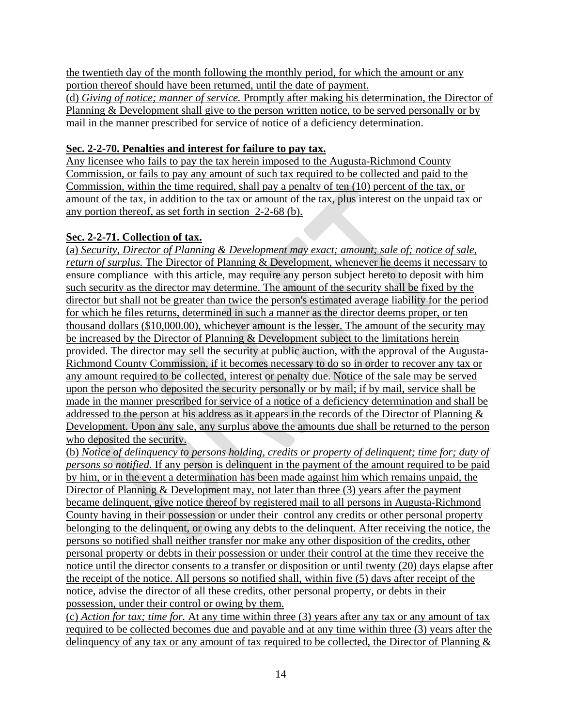the twentieth day of the month following the monthly period, for which the amount or any portion thereof should have been returned, until the date of payment.

(d) *Giving of notice; manner of service.* Promptly after making his determination, the Director of Planning & Development shall give to the person written notice, to be served personally or by mail in the manner prescribed for service of notice of a deficiency determination.

## **Sec. 2-2-70. Penalties and interest for failure to pay tax.**

Any licensee who fails to pay the tax herein imposed to the Augusta-Richmond County Commission, or fails to pay any amount of such tax required to be collected and paid to the Commission, within the time required, shall pay a penalty of ten (10) percent of the tax, or amount of the tax, in addition to the tax or amount of the tax, plus interest on the unpaid tax or any portion thereof, as set forth in section 2-2-68 (b).

## **Sec. 2-2-71. Collection of tax.**

(a) *Security, Director of Planning & Development may exact; amount; sale of; notice of sale, return of surplus.* The Director of Planning & Development, whenever he deems it necessary to ensure compliance with this article, may require any person subject hereto to deposit with him such security as the director may determine. The amount of the security shall be fixed by the director but shall not be greater than twice the person's estimated average liability for the period for which he files returns, determined in such a manner as the director deems proper, or ten thousand dollars (\$10,000.00), whichever amount is the lesser. The amount of the security may be increased by the Director of Planning & Development subject to the limitations herein provided. The director may sell the security at public auction, with the approval of the Augusta-Richmond County Commission, if it becomes necessary to do so in order to recover any tax or any amount required to be collected, interest or penalty due. Notice of the sale may be served upon the person who deposited the security personally or by mail; if by mail, service shall be made in the manner prescribed for service of a notice of a deficiency determination and shall be addressed to the person at his address as it appears in the records of the Director of Planning & Development. Upon any sale, any surplus above the amounts due shall be returned to the person who deposited the security.

(b) *Notice of delinquency to persons holding, credits or property of delinquent; time for; duty of persons so notified.* If any person is delinquent in the payment of the amount required to be paid by him, or in the event a determination has been made against him which remains unpaid, the Director of Planning & Development may, not later than three (3) years after the payment became delinquent, give notice thereof by registered mail to all persons in Augusta-Richmond County having in their possession or under their control any credits or other personal property belonging to the delinquent, or owing any debts to the delinquent. After receiving the notice, the persons so notified shall neither transfer nor make any other disposition of the credits, other personal property or debts in their possession or under their control at the time they receive the notice until the director consents to a transfer or disposition or until twenty (20) days elapse after the receipt of the notice. All persons so notified shall, within five (5) days after receipt of the notice, advise the director of all these credits, other personal property, or debts in their possession, under their control or owing by them.

(c) *Action for tax; time for.* At any time within three (3) years after any tax or any amount of tax required to be collected becomes due and payable and at any time within three (3) years after the delinquency of any tax or any amount of tax required to be collected, the Director of Planning &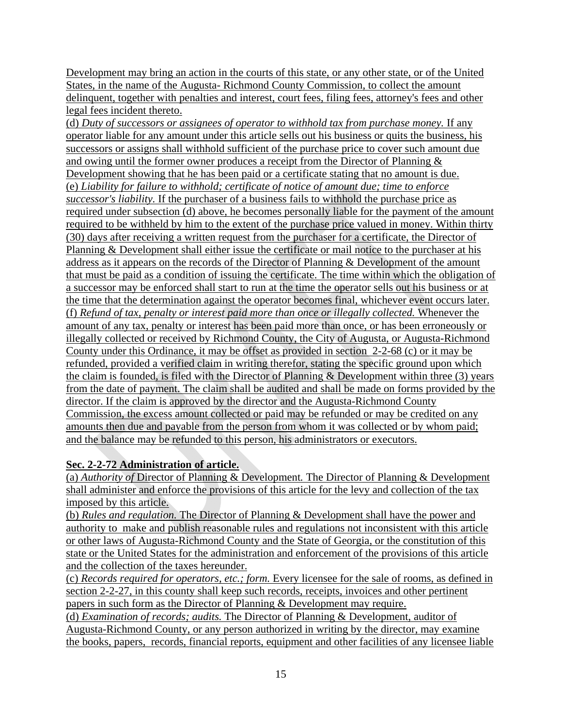Development may bring an action in the courts of this state, or any other state, or of the United States, in the name of the Augusta- Richmond County Commission, to collect the amount delinquent, together with penalties and interest, court fees, filing fees, attorney's fees and other legal fees incident thereto.

(d) *Duty of successors or assignees of operator to withhold tax from purchase money.* If any operator liable for any amount under this article sells out his business or quits the business, his successors or assigns shall withhold sufficient of the purchase price to cover such amount due and owing until the former owner produces a receipt from the Director of Planning & Development showing that he has been paid or a certificate stating that no amount is due. (e) *Liability for failure to withhold; certificate of notice of amount due; time to enforce successor's liability.* If the purchaser of a business fails to withhold the purchase price as required under subsection (d) above, he becomes personally liable for the payment of the amount required to be withheld by him to the extent of the purchase price valued in money. Within thirty (30) days after receiving a written request from the purchaser for a certificate, the Director of Planning & Development shall either issue the certificate or mail notice to the purchaser at his address as it appears on the records of the Director of Planning & Development of the amount that must be paid as a condition of issuing the certificate. The time within which the obligation of a successor may be enforced shall start to run at the time the operator sells out his business or at the time that the determination against the operator becomes final, whichever event occurs later. (f) *Refund of tax, penalty or interest paid more than once or illegally collected.* Whenever the amount of any tax, penalty or interest has been paid more than once, or has been erroneously or illegally collected or received by Richmond County, the City of Augusta, or Augusta-Richmond County under this Ordinance, it may be offset as provided in section 2-2-68 (c) or it may be refunded, provided a verified claim in writing therefor, stating the specific ground upon which the claim is founded, is filed with the Director of Planning  $\&$  Development within three (3) years from the date of payment. The claim shall be audited and shall be made on forms provided by the director. If the claim is approved by the director and the Augusta-Richmond County Commission, the excess amount collected or paid may be refunded or may be credited on any amounts then due and payable from the person from whom it was collected or by whom paid; and the balance may be refunded to this person, his administrators or executors.

## **Sec. 2-2-72 Administration of article.**

(a) *Authority of* Director of Planning & Development*.* The Director of Planning & Development shall administer and enforce the provisions of this article for the levy and collection of the tax imposed by this article.

(b) *Rules and regulation.* The Director of Planning & Development shall have the power and authority to make and publish reasonable rules and regulations not inconsistent with this article or other laws of Augusta-Richmond County and the State of Georgia, or the constitution of this state or the United States for the administration and enforcement of the provisions of this article and the collection of the taxes hereunder.

(c) *Records required for operators, etc.; form.* Every licensee for the sale of rooms, as defined in section 2-2-27, in this county shall keep such records, receipts, invoices and other pertinent papers in such form as the Director of Planning & Development may require.

(d) *Examination of records; audits.* The Director of Planning & Development, auditor of Augusta-Richmond County, or any person authorized in writing by the director, may examine the books, papers, records, financial reports, equipment and other facilities of any licensee liable